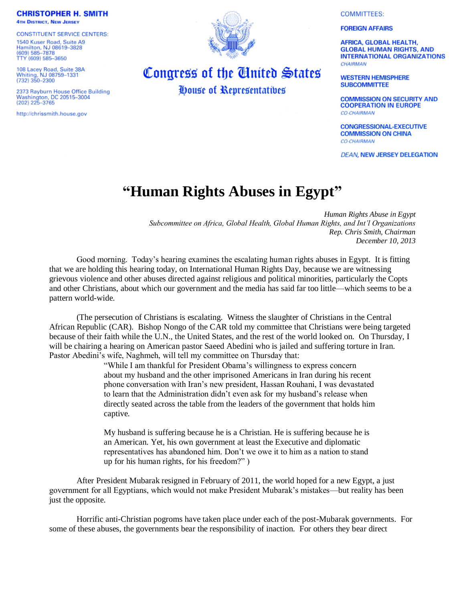**CHRISTOPHER H. SMITH 4TH DISTRICT, NEW JERSEY** 

**CONSTITUENT SERVICE CENTERS:** 1540 Kuser Road, Suite A9 Hamilton, NJ 08619-3828<br>(609) 585-7878 TTY (609) 585-3650

108 Lacey Road, Suite 38A<br>Whiting, NJ 08759-1331<br>(732) 350-2300

2373 Rayburn House Office Building Washington, DC 20515-3004<br>(202) 225-3765

http://chrissmith.house.gov



Congress of the United States

House of Representatives

**COMMITTEES:** 

**FOREIGN AFFAIRS** 

**AFRICA, GLOBAL HEALTH, GLOBAL HUMAN RIGHTS, AND INTERNATIONAL ORGANIZATIONS CHAIRMAN** 

**WESTERN HEMISPHERE SUBCOMMITTEE** 

**COMMISSION ON SECURITY AND COOPERATION IN EUROPE CO-CHAIRMAN** 

**CONGRESSIONAL-EXECUTIVE COMMISSION ON CHINA CO-CHAIRMAN** 

**DEAN, NEW JERSEY DELEGATION** 

## **"Human Rights Abuses in Egypt"**

*Human Rights Abuse in Egypt Subcommittee on Africa, Global Health, Global Human Rights, and Int'l Organizations Rep. Chris Smith, Chairman December 10, 2013*

Good morning. Today's hearing examines the escalating human rights abuses in Egypt. It is fitting that we are holding this hearing today, on International Human Rights Day, because we are witnessing grievous violence and other abuses directed against religious and political minorities, particularly the Copts and other Christians, about which our government and the media has said far too little—which seems to be a pattern world-wide.

(The persecution of Christians is escalating. Witness the slaughter of Christians in the Central African Republic (CAR). Bishop Nongo of the CAR told my committee that Christians were being targeted because of their faith while the U.N., the United States, and the rest of the world looked on. On Thursday, I will be chairing a hearing on American pastor Saeed Abedini who is jailed and suffering torture in Iran. Pastor Abedini's wife, Naghmeh, will tell my committee on Thursday that:

> "While I am thankful for President Obama's willingness to express concern about my husband and the other imprisoned Americans in Iran during his recent phone conversation with Iran's new president, Hassan Rouhani, I was devastated to learn that the Administration didn't even ask for my husband's release when directly seated across the table from the leaders of the government that holds him captive.

My husband is suffering because he is a Christian. He is suffering because he is an American. Yet, his own government at least the Executive and diplomatic representatives has abandoned him. Don't we owe it to him as a nation to stand up for his human rights, for his freedom?" )

After President Mubarak resigned in February of 2011, the world hoped for a new Egypt, a just government for all Egyptians, which would not make President Mubarak's mistakes—but reality has been just the opposite.

Horrific anti-Christian pogroms have taken place under each of the post-Mubarak governments. For some of these abuses, the governments bear the responsibility of inaction. For others they bear direct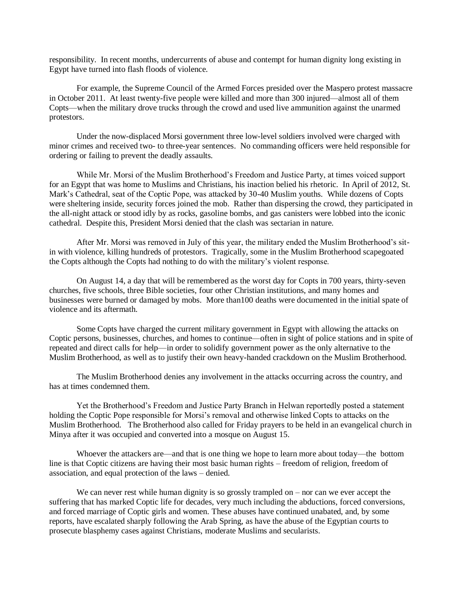responsibility. In recent months, undercurrents of abuse and contempt for human dignity long existing in Egypt have turned into flash floods of violence.

For example, the Supreme Council of the Armed Forces presided over the Maspero protest massacre in October 2011. At least twenty-five people were killed and more than 300 injured—almost all of them Copts—when the military drove trucks through the crowd and used live ammunition against the unarmed protestors.

Under the now-displaced Morsi government three low-level soldiers involved were charged with minor crimes and received two- to three-year sentences. No commanding officers were held responsible for ordering or failing to prevent the deadly assaults.

While Mr. Morsi of the Muslim Brotherhood's Freedom and Justice Party, at times voiced support for an Egypt that was home to Muslims and Christians, his inaction belied his rhetoric. In April of 2012, St. Mark's Cathedral, seat of the Coptic Pope, was attacked by 30-40 Muslim youths. While dozens of Copts were sheltering inside, security forces joined the mob. Rather than dispersing the crowd, they participated in the all-night attack or stood idly by as rocks, gasoline bombs, and gas canisters were lobbed into the iconic cathedral. Despite this, President Morsi denied that the clash was sectarian in nature.

After Mr. Morsi was removed in July of this year, the military ended the Muslim Brotherhood's sitin with violence, killing hundreds of protestors. Tragically, some in the Muslim Brotherhood scapegoated the Copts although the Copts had nothing to do with the military's violent response.

On August 14, a day that will be remembered as the worst day for Copts in 700 years, thirty-seven churches, five schools, three Bible societies, four other Christian institutions, and many homes and businesses were burned or damaged by mobs. More than100 deaths were documented in the initial spate of violence and its aftermath.

Some Copts have charged the current military government in Egypt with allowing the attacks on Coptic persons, businesses, churches, and homes to continue—often in sight of police stations and in spite of repeated and direct calls for help—in order to solidify government power as the only alternative to the Muslim Brotherhood, as well as to justify their own heavy-handed crackdown on the Muslim Brotherhood.

The Muslim Brotherhood denies any involvement in the attacks occurring across the country, and has at times condemned them.

Yet the Brotherhood's Freedom and Justice Party Branch in Helwan reportedly posted a statement holding the Coptic Pope responsible for Morsi's removal and otherwise linked Copts to attacks on the Muslim Brotherhood. The Brotherhood also called for Friday prayers to be held in an evangelical church in Minya after it was occupied and converted into a mosque on August 15.

Whoever the attackers are—and that is one thing we hope to learn more about today—the bottom line is that Coptic citizens are having their most basic human rights – freedom of religion, freedom of association, and equal protection of the laws – denied.

We can never rest while human dignity is so grossly trampled on – nor can we ever accept the suffering that has marked Coptic life for decades, very much including the abductions, forced conversions, and forced marriage of Coptic girls and women. These abuses have continued unabated, and, by some reports, have escalated sharply following the Arab Spring, as have the abuse of the Egyptian courts to prosecute blasphemy cases against Christians, moderate Muslims and secularists.